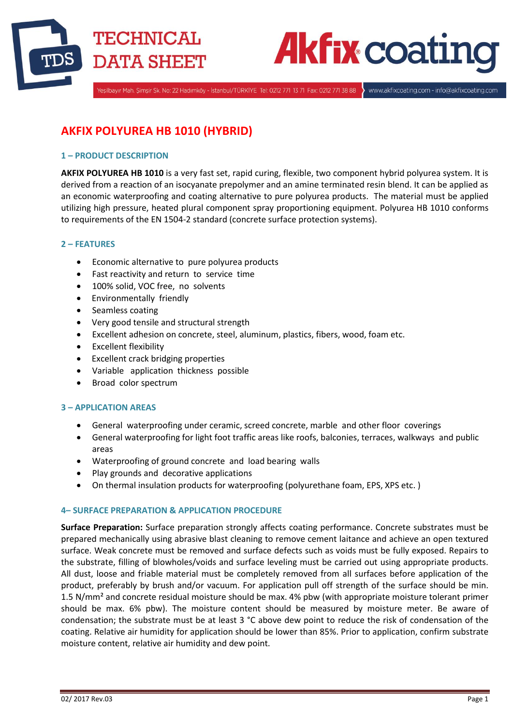



.<br>Yeşilbayır Mah. Şimşir Sk. No: 22 Hadımköy - İstanbul/TÜRKİYE Tel: 0212 771 13 71 Fax: 0212 771 38 88

www.akfixcoating.com - info@akfixcoating.com

# **AKFIX POLYUREA HB 1010 (HYBRID)**

# **1 – PRODUCT DESCRIPTION**

**AKFIX POLYUREA HB 1010** is a very fast set, rapid curing, flexible, two component hybrid polyurea system. It is derived from a reaction of an isocyanate prepolymer and an amine terminated resin blend. It can be applied as an economic waterproofing and coating alternative to pure polyurea products. The material must be applied utilizing high pressure, heated plural component spray proportioning equipment. Polyurea HB 1010 conforms to requirements of the EN 1504-2 standard (concrete surface protection systems).

# **2 – FEATURES**

- Economic alternative to pure polyurea products
- Fast reactivity and return to service time
- 100% solid, VOC free, no solvents
- **•** Environmentally friendly
- Seamless coating
- Very good tensile and structural strength
- Excellent adhesion on concrete, steel, aluminum, plastics, fibers, wood, foam etc.
- Excellent flexibility
- Excellent crack bridging properties
- Variable application thickness possible
- Broad color spectrum

## **3 – APPLICATION AREAS**

- General waterproofing under ceramic, screed concrete, marble and other floor coverings
- General waterproofing for light foot traffic areas like roofs, balconies, terraces, walkways and public areas
- Waterproofing of ground concrete and load bearing walls
- Play grounds and decorative applications
- On thermal insulation products for waterproofing (polyurethane foam, EPS, XPS etc. )

# **4– SURFACE PREPARATION & APPLICATION PROCEDURE**

**Surface Preparation:** Surface preparation strongly affects coating performance. Concrete substrates must be prepared mechanically using abrasive blast cleaning to remove cement laitance and achieve an open textured surface. Weak concrete must be removed and surface defects such as voids must be fully exposed. Repairs to the substrate, filling of blowholes/voids and surface leveling must be carried out using appropriate products. All dust, loose and friable material must be completely removed from all surfaces before application of the product, preferably by brush and/or vacuum. For application pull off strength of the surface should be min. 1.5 N/mm<sup>2</sup> and concrete residual moisture should be max. 4% pbw (with appropriate moisture tolerant primer should be max. 6% pbw). The moisture content should be measured by moisture meter. Be aware of condensation; the substrate must be at least 3 °C above dew point to reduce the risk of condensation of the coating. Relative air humidity for application should be lower than 85%. Prior to application, confirm substrate moisture content, relative air humidity and dew point.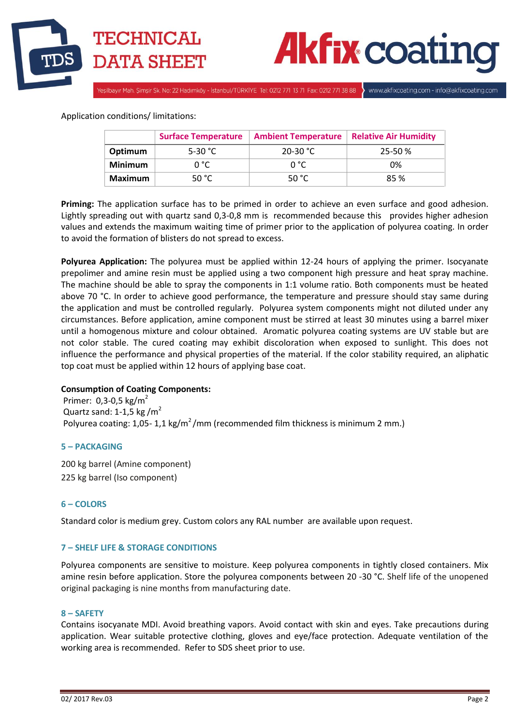



.<br>Yeşilbayır Mah. Şimşir Sk. No: 22 Hadımköy - İstanbul/TÜRKİYE Tel: 0212 771 13 71 Fax: 0212 771 38 88

www.akfixcoating.com - info@akfixcoating.com

# Application conditions/ limitations:

|                | <b>Surface Temperature</b> | <b>Ambient Temperature</b> | <b>Relative Air Humidity</b> |
|----------------|----------------------------|----------------------------|------------------------------|
| Optimum        | 5-30 °C                    | 20-30 °C                   | $25 - 50%$                   |
| <b>Minimum</b> | 0 °C                       | n °C                       | 0%                           |
| Maximum        | 50 $^{\circ}$ C            | 50 °C                      | 85 %                         |

**Priming:** The application surface has to be primed in order to achieve an even surface and good adhesion. Lightly spreading out with quartz sand 0,3-0,8 mm is recommended because this provides higher adhesion values and extends the maximum waiting time of primer prior to the application of polyurea coating. In order to avoid the formation of blisters do not spread to excess.

**Polyurea Application:** The polyurea must be applied within 12-24 hours of applying the primer. Isocyanate prepolimer and amine resin must be applied using a two component high pressure and heat spray machine. The machine should be able to spray the components in 1:1 volume ratio. Both components must be heated above 70 °C. In order to achieve good performance, the temperature and pressure should stay same during the application and must be controlled regularly. Polyurea system components might not diluted under any circumstances. Before application, amine component must be stirred at least 30 minutes using a barrel mixer until a homogenous mixture and colour obtained. Aromatic polyurea coating systems are UV stable but are not color stable. The cured coating may exhibit discoloration when exposed to sunlight. This does not influence the performance and physical properties of the material. If the color stability required, an aliphatic top coat must be applied within 12 hours of applying base coat.

# **Consumption of Coating Components:**

Primer:  $0,3-0,5$  kg/m<sup>2</sup> Quartz sand: 1-1,5 kg / $m^2$ Polyurea coating: 1,05- 1,1 kg/m<sup>2</sup>/mm (recommended film thickness is minimum 2 mm.)

## **5 – PACKAGING**

200 kg barrel (Amine component) 225 kg barrel (Iso component)

# **6 – COLORS**

Standard color is medium grey. Custom colors any RAL number are available upon request.

## **7 – SHELF LIFE & STORAGE CONDITIONS**

Polyurea components are sensitive to moisture. Keep polyurea components in tightly closed containers. Mix amine resin before application. Store the polyurea components between 20 -30 °C. Shelf life of the unopened original packaging is nine months from manufacturing date.

## **8 – SAFETY**

Contains isocyanate MDI. Avoid breathing vapors. Avoid contact with skin and eyes. Take precautions during application. Wear suitable protective clothing, gloves and eye/face protection. Adequate ventilation of the working area is recommended. Refer to SDS sheet prior to use.